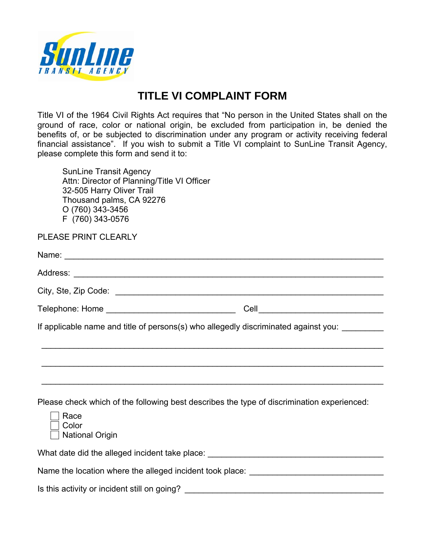

## **TITLE VI COMPLAINT FORM**

Title VI of the 1964 Civil Rights Act requires that "No person in the United States shall on the ground of race, color or national origin, be excluded from participation in, be denied the benefits of, or be subjected to discrimination under any program or activity receiving federal financial assistance". If you wish to submit a Title VI complaint to SunLine Transit Agency, please complete this form and send it to:

 SunLine Transit Agency Attn: Director of Planning/Title VI Officer 32-505 Harry Oliver Trail Thousand palms, CA 92276 O (760) 343-3456 F (760) 343-0576

| PLEASE PRINT CLEARLY                                                                                                                  |
|---------------------------------------------------------------------------------------------------------------------------------------|
|                                                                                                                                       |
|                                                                                                                                       |
|                                                                                                                                       |
| Telephone: Home ________________________________                                                                                      |
| If applicable name and title of persons(s) who allegedly discriminated against you: _________                                         |
| ,我们也不会有什么。""我们的人,我们也不会有什么?""我们的人,我们也不会有什么?""我们的人,我们也不会有什么?""我们的人,我们也不会有什么?""我们的人                                                      |
|                                                                                                                                       |
| Please check which of the following best describes the type of discrimination experienced:<br>Race<br>Color<br><b>National Origin</b> |
| What date did the alleged incident take place: _________________________________                                                      |
| Name the location where the alleged incident took place: _______________________                                                      |
| Is this activity or incident still on going? ___________________________________                                                      |